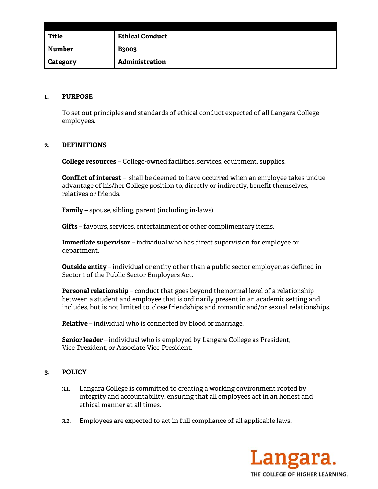| <b>Title</b>    | <b>Ethical Conduct</b> |
|-----------------|------------------------|
| Number          | <b>B3003</b>           |
| <b>Category</b> | Administration         |

## **1. PURPOSE**

To set out principles and standards of ethical conduct expected of all Langara College employees.

## **2. DEFINITIONS**

**College resources** – College-owned facilities, services, equipment, supplies.

**Conflict of interest** – shall be deemed to have occurred when an employee takes undue advantage of his/her College position to, directly or indirectly, benefit themselves, relatives or friends.

**Family** – spouse, sibling, parent (including in-laws).

**Gifts** – favours, services, entertainment or other complimentary items.

**Immediate supervisor** – individual who has direct supervision for employee or department.

**Outside entity** – individual or entity other than a public sector employer, as defined in Sector 1 of the Public Sector Employers Act.

**Personal relationship** – conduct that goes beyond the normal level of a relationship between a student and employee that is ordinarily present in an academic setting and includes, but is not limited to, close friendships and romantic and/or sexual relationships.

**Relative** – individual who is connected by blood or marriage.

**Senior leader** – individual who is employed by Langara College as President, Vice-President, or Associate Vice-President.

## **3. POLICY**

- 3.1. Langara College is committed to creating a working environment rooted by integrity and accountability, ensuring that all employees act in an honest and ethical manner at all times.
- 3.2. Employees are expected to act in full compliance of all applicable laws.

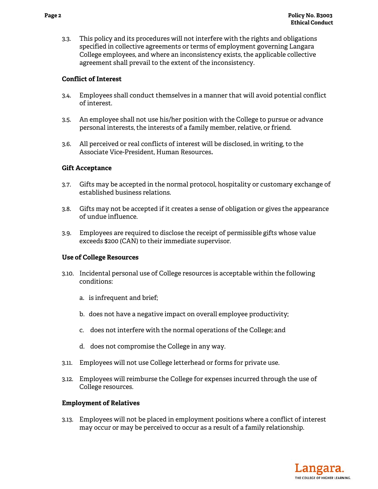3.3. This policy and its procedures will not interfere with the rights and obligations specified in collective agreements or terms of employment governing Langara College employees, and where an inconsistency exists, the applicable collective agreement shall prevail to the extent of the inconsistency.

## **Conflict of Interest**

- 3.4. Employees shall conduct themselves in a manner that will avoid potential conflict of interest.
- 3.5. An employee shall not use his/her position with the College to pursue or advance personal interests, the interests of a family member, relative, or friend.
- 3.6. All perceived or real conflicts of interest will be disclosed, in writing, to the Associate Vice-President, Human Resources**.**

### **Gift Acceptance**

- 3.7. Gifts may be accepted in the normal protocol, hospitality or customary exchange of established business relations.
- 3.8. Gifts may not be accepted if it creates a sense of obligation or gives the appearance of undue influence.
- 3.9. Employees are required to disclose the receipt of permissible gifts whose value exceeds \$200 (CAN) to their immediate supervisor.

### **Use of College Resources**

- 3.10. Incidental personal use of College resources is acceptable within the following conditions:
	- a. is infrequent and brief;
	- b. does not have a negative impact on overall employee productivity;
	- c. does not interfere with the normal operations of the College; and
	- d. does not compromise the College in any way.
- 3.11. Employees will not use College letterhead or forms for private use.
- 3.12. Employees will reimburse the College for expenses incurred through the use of College resources.

### **Employment of Relatives**

3.13. Employees will not be placed in employment positions where a conflict of interest may occur or may be perceived to occur as a result of a family relationship.

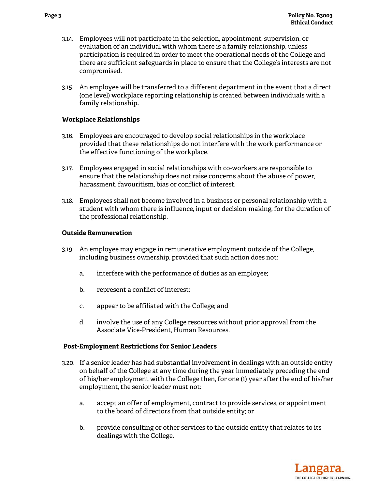- 3.14. Employees will not participate in the selection, appointment, supervision, or evaluation of an individual with whom there is a family relationship, unless participation is required in order to meet the operational needs of the College and there are sufficient safeguards in place to ensure that the College's interests are not compromised.
- 3.15. An employee will be transferred to a different department in the event that a direct (one level) workplace reporting relationship is created between individuals with a family relationship**.**

## **Workplace Relationships**

- 3.16. Employees are encouraged to develop social relationships in the workplace provided that these relationships do not interfere with the work performance or the effective functioning of the workplace.
- 3.17. Employees engaged in social relationships with co-workers are responsible to ensure that the relationship does not raise concerns about the abuse of power, harassment, favouritism, bias or conflict of interest.
- 3.18. Employees shall not become involved in a business or personal relationship with a student with whom there is influence, input or decision-making, for the duration of the professional relationship.

## **Outside Remuneration**

- 3.19. An employee may engage in remunerative employment outside of the College, including business ownership, provided that such action does not:
	- a. interfere with the performance of duties as an employee;
	- b. represent a conflict of interest;
	- c. appear to be affiliated with the College; and
	- d. involve the use of any College resources without prior approval from the Associate Vice-President, Human Resources.

### **Post-Employment Restrictions for Senior Leaders**

- 3.20. If a senior leader has had substantial involvement in dealings with an outside entity on behalf of the College at any time during the year immediately preceding the end of his/her employment with the College then, for one (1) year after the end of his/her employment, the senior leader must not:
	- a. accept an offer of employment, contract to provide services, or appointment to the board of directors from that outside entity; or
	- b. provide consulting or other services to the outside entity that relates to its dealings with the College.

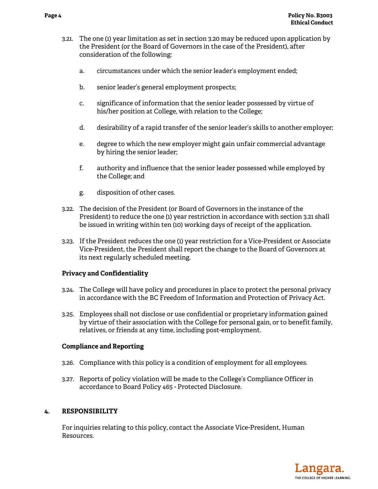- 3.21. The one (1) year limitation as set in section 3.20 may be reduced upon application by the President (or the Board of Governors in the case of the President), after consideration of the following:
	- a. circumstances under which the senior leader's employment ended;
	- b. senior leader's general employment prospects;
	- c. significance of information that the senior leader possessed by virtue of his/her position at College, with relation to the College;
	- d. desirability of a rapid transfer of the senior leader's skills to another employer;
	- e. degree to which the new employer might gain unfair commercial advantage by hiring the senior leader;
	- f. authority and influence that the senior leader possessed while employed by the College; and
	- g. disposition of other cases.
- 3.22. The decision of the President (or Board of Governors in the instance of the President) to reduce the one (1) year restriction in accordance with section 3.21 shall be issued in writing within ten (10) working days of receipt of the application.
- 3.23. If the President reduces the one (1) year restriction for a Vice-President or Associate Vice-President, the President shall report the change to the Board of Governors at its next regularly scheduled meeting.

## **Privacy and Confidentiality**

- 3.24. The College will have policy and procedures in place to protect the personal privacy in accordance with the BC Freedom of Information and Protection of Privacy Act.
- 3.25. Employees shall not disclose or use confidential or proprietary information gained by virtue of their association with the College for personal gain, or to benefit family, relatives, or friends at any time, including post-employment.

### **Compliance and Reporting**

- 3.26. Compliance with this policy is a condition of employment for all employees.
- 3.27. Reports of policy violation will be made to the College's Compliance Officer in accordance to Board Policy 465 - Protected Disclosure.

## **4. RESPONSIBILITY**

 For inquiries relating to this policy, contact the Associate Vice-President, Human Resources.